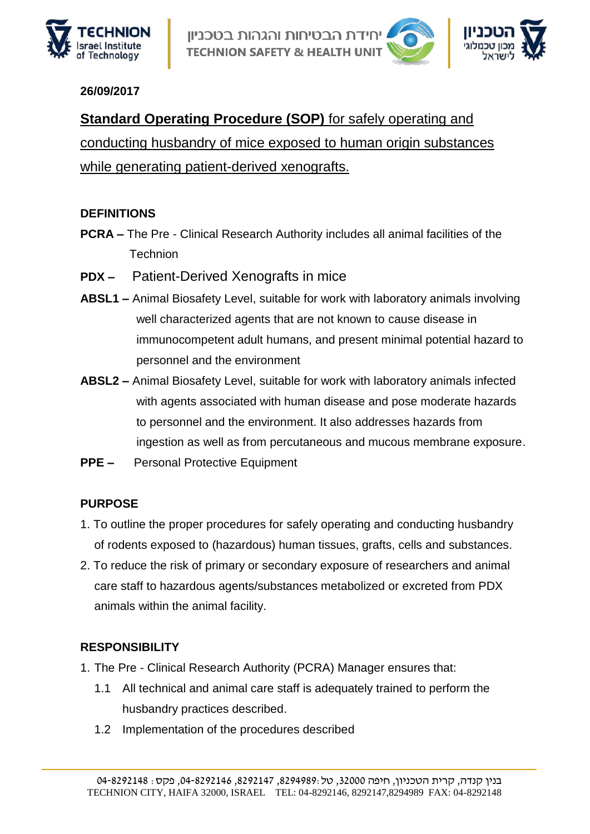

וידת הבטיחות והגהות בטכניוו **TECHNION SAFETY & HEALTH UNI** 



#### **26/09/2017**

**Standard Operating Procedure (SOP)** for safely operating and conducting husbandry of mice exposed to human origin substances while generating patient-derived xenografts.

### **DEFINITIONS**

- **PCRA –** The Pre Clinical Research Authority includes all animal facilities of the **Technion**
- **PDX –** Patient-Derived Xenografts in mice
- **ABSL1 –** Animal Biosafety Level, suitable for work with laboratory animals involving well characterized agents that are not known to cause disease in immunocompetent adult humans, and present minimal potential hazard to personnel and the environment
- **ABSL2 –** Animal Biosafety Level, suitable for work with laboratory animals infected with agents associated with human disease and pose moderate hazards to personnel and the environment. It also addresses hazards from ingestion as well as from percutaneous and mucous membrane exposure.
- **PPE –** Personal Protective Equipment

### **PURPOSE**

- 1. To outline the proper procedures for safely operating and conducting husbandry of rodents exposed to (hazardous) human tissues, grafts, cells and substances.
- 2. To reduce the risk of primary or secondary exposure of researchers and animal care staff to hazardous agents/substances metabolized or excreted from PDX animals within the animal facility.

## **RESPONSIBILITY**

- 1. The Pre Clinical Research Authority (PCRA) Manager ensures that:
	- 1.1 All technical and animal care staff is adequately trained to perform the husbandry practices described.
	- 1.2 Implementation of the procedures described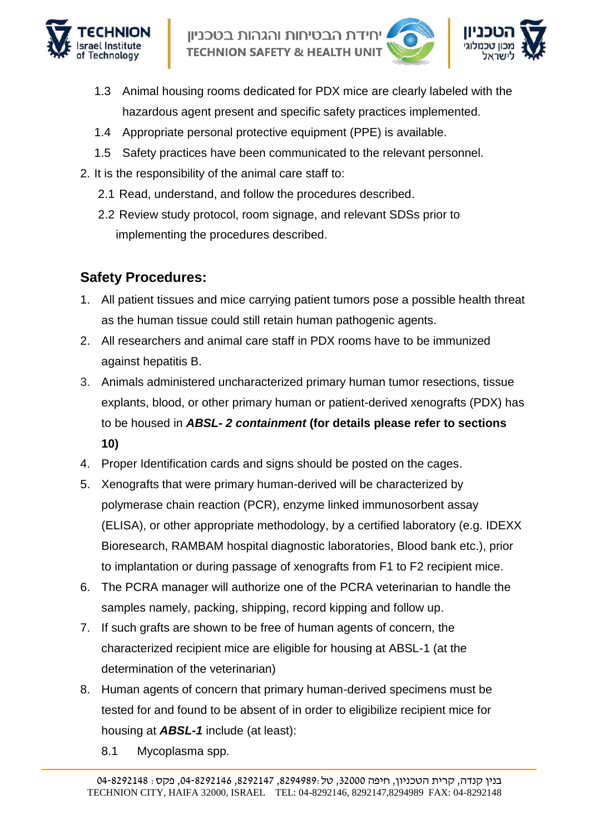



- 1.3 Animal housing rooms dedicated for PDX mice are clearly labeled with the hazardous agent present and specific safety practices implemented.
- 1.4 Appropriate personal protective equipment (PPE) is available.
- 1.5 Safety practices have been communicated to the relevant personnel.
- 2. It is the responsibility of the animal care staff to:
	- 2.1 Read, understand, and follow the procedures described.
	- 2.2 Review study protocol, room signage, and relevant SDSs prior to implementing the procedures described.

# **Safety Procedures:**

- 1. All patient tissues and mice carrying patient tumors pose a possible health threat as the human tissue could still retain human pathogenic agents.
- 2. All researchers and animal care staff in PDX rooms have to be immunized against hepatitis B.
- 3. Animals administered uncharacterized primary human tumor resections, tissue explants, blood, or other primary human or patient-derived xenografts (PDX) has to be housed in *ABSL- 2 containment* **(for details please refer to sections 10)**
- 4. Proper Identification cards and signs should be posted on the cages.
- 5. Xenografts that were primary human-derived will be characterized by polymerase chain reaction (PCR), enzyme linked immunosorbent assay (ELISA), or other appropriate methodology, by a certified laboratory (e.g. IDEXX Bioresearch, RAMBAM hospital diagnostic laboratories, Blood bank etc.), prior to implantation or during passage of xenografts from F1 to F2 recipient mice.
- 6. The PCRA manager will authorize one of the PCRA veterinarian to handle the samples namely, packing, shipping, record kipping and follow up.
- 7. If such grafts are shown to be free of human agents of concern, the characterized recipient mice are eligible for housing at ABSL-1 (at the determination of the veterinarian)
- 8. Human agents of concern that primary human-derived specimens must be tested for and found to be absent of in order to eligibilize recipient mice for housing at *ABSL-1* include (at least):
	- 8.1 Mycoplasma spp.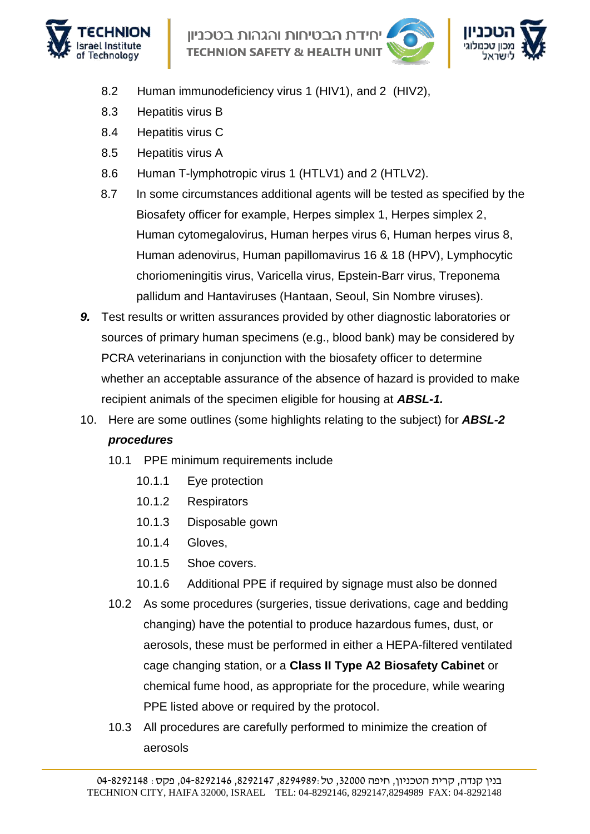

ידת הבטיחות והגהות בטכניוו **TECHNION SAFETY & HEALTH UNIT** 



- 8.2 Human immunodeficiency virus 1 (HIV1), and 2 (HIV2),
- 8.3 Hepatitis virus B
- 8.4 Hepatitis virus C
- 8.5 Hepatitis virus A
- 8.6 Human T-lymphotropic virus 1 (HTLV1) and 2 (HTLV2).
- 8.7 In some circumstances additional agents will be tested as specified by the Biosafety officer for example, Herpes simplex 1, Herpes simplex 2, Human cytomegalovirus, Human herpes virus 6, Human herpes virus 8, Human adenovirus, Human papillomavirus 16 & 18 (HPV), Lymphocytic choriomeningitis virus, Varicella virus, Epstein-Barr virus, Treponema pallidum and Hantaviruses (Hantaan, Seoul, Sin Nombre viruses).
- *9.* Test results or written assurances provided by other diagnostic laboratories or sources of primary human specimens (e.g., blood bank) may be considered by PCRA veterinarians in conjunction with the biosafety officer to determine whether an acceptable assurance of the absence of hazard is provided to make recipient animals of the specimen eligible for housing at *ABSL-1.*
- 10. Here are some outlines (some highlights relating to the subject) for *ABSL-2 procedures*
	- 10.1 PPE minimum requirements include
		- 10.1.1 Eye protection
		- 10.1.2 Respirators
		- 10.1.3 Disposable gown
		- 10.1.4 Gloves,
		- 10.1.5 Shoe covers.
		- 10.1.6 Additional PPE if required by signage must also be donned
	- 10.2 As some procedures (surgeries, tissue derivations, cage and bedding changing) have the potential to produce hazardous fumes, dust, or aerosols, these must be performed in either a HEPA-filtered ventilated cage changing station, or a **Class II Type A2 Biosafety Cabinet** or chemical fume hood, as appropriate for the procedure, while wearing PPE listed above or required by the protocol.
	- 10.3 All procedures are carefully performed to minimize the creation of aerosols